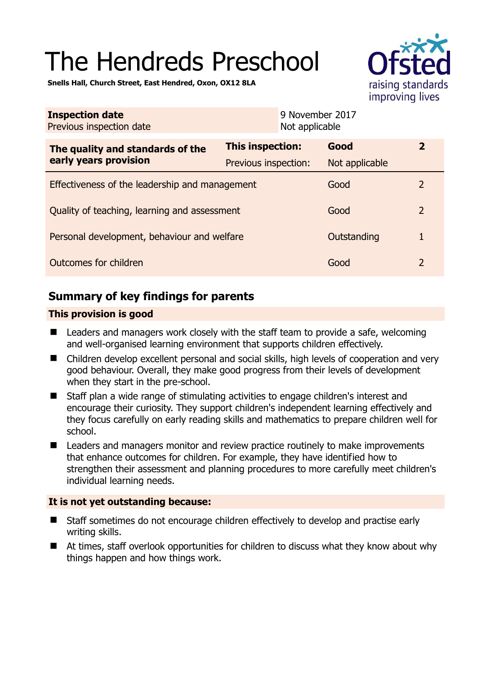# The Hendreds Preschool



**Snells Hall, Church Street, East Hendred, Oxon, OX12 8LA** 

| <b>Inspection date</b><br>Previous inspection date        | 9 November 2017<br>Not applicable               |                        |                |
|-----------------------------------------------------------|-------------------------------------------------|------------------------|----------------|
| The quality and standards of the<br>early years provision | <b>This inspection:</b><br>Previous inspection: | Good<br>Not applicable | $\mathbf{2}$   |
| Effectiveness of the leadership and management            |                                                 | Good                   | $\overline{2}$ |
| Quality of teaching, learning and assessment              |                                                 | Good                   | $\overline{2}$ |
| Personal development, behaviour and welfare               |                                                 | Outstanding            | 1              |
| Outcomes for children<br>Good                             |                                                 |                        | $\overline{2}$ |

# **Summary of key findings for parents**

## **This provision is good**

- Leaders and managers work closely with the staff team to provide a safe, welcoming and well-organised learning environment that supports children effectively.
- Children develop excellent personal and social skills, high levels of cooperation and very good behaviour. Overall, they make good progress from their levels of development when they start in the pre-school.
- Staff plan a wide range of stimulating activities to engage children's interest and encourage their curiosity. They support children's independent learning effectively and they focus carefully on early reading skills and mathematics to prepare children well for school.
- Leaders and managers monitor and review practice routinely to make improvements that enhance outcomes for children. For example, they have identified how to strengthen their assessment and planning procedures to more carefully meet children's individual learning needs.

#### **It is not yet outstanding because:**

- Staff sometimes do not encourage children effectively to develop and practise early writing skills.
- At times, staff overlook opportunities for children to discuss what they know about why things happen and how things work.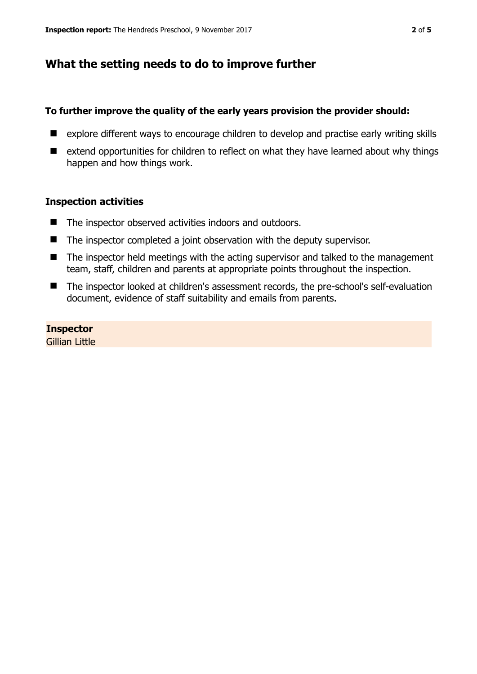## **What the setting needs to do to improve further**

#### **To further improve the quality of the early years provision the provider should:**

- explore different ways to encourage children to develop and practise early writing skills
- extend opportunities for children to reflect on what they have learned about why things happen and how things work.

## **Inspection activities**

- The inspector observed activities indoors and outdoors.
- The inspector completed a joint observation with the deputy supervisor.
- The inspector held meetings with the acting supervisor and talked to the management team, staff, children and parents at appropriate points throughout the inspection.
- The inspector looked at children's assessment records, the pre-school's self-evaluation document, evidence of staff suitability and emails from parents.

**Inspector**  Gillian Little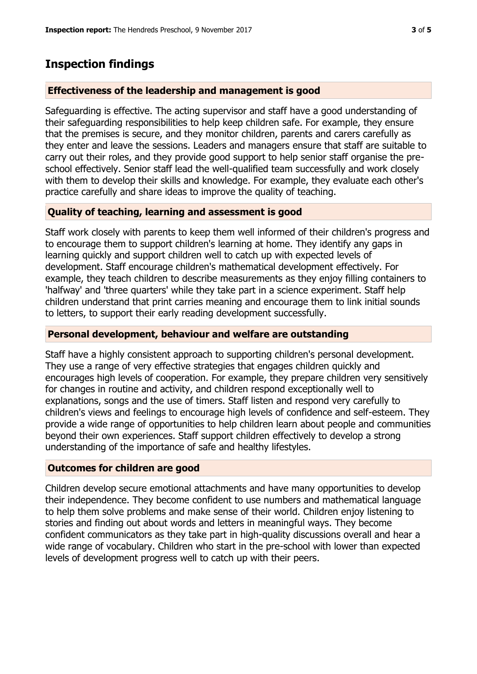# **Inspection findings**

## **Effectiveness of the leadership and management is good**

Safeguarding is effective. The acting supervisor and staff have a good understanding of their safeguarding responsibilities to help keep children safe. For example, they ensure that the premises is secure, and they monitor children, parents and carers carefully as they enter and leave the sessions. Leaders and managers ensure that staff are suitable to carry out their roles, and they provide good support to help senior staff organise the preschool effectively. Senior staff lead the well-qualified team successfully and work closely with them to develop their skills and knowledge. For example, they evaluate each other's practice carefully and share ideas to improve the quality of teaching.

## **Quality of teaching, learning and assessment is good**

Staff work closely with parents to keep them well informed of their children's progress and to encourage them to support children's learning at home. They identify any gaps in learning quickly and support children well to catch up with expected levels of development. Staff encourage children's mathematical development effectively. For example, they teach children to describe measurements as they enjoy filling containers to 'halfway' and 'three quarters' while they take part in a science experiment. Staff help children understand that print carries meaning and encourage them to link initial sounds to letters, to support their early reading development successfully.

#### **Personal development, behaviour and welfare are outstanding**

Staff have a highly consistent approach to supporting children's personal development. They use a range of very effective strategies that engages children quickly and encourages high levels of cooperation. For example, they prepare children very sensitively for changes in routine and activity, and children respond exceptionally well to explanations, songs and the use of timers. Staff listen and respond very carefully to children's views and feelings to encourage high levels of confidence and self-esteem. They provide a wide range of opportunities to help children learn about people and communities beyond their own experiences. Staff support children effectively to develop a strong understanding of the importance of safe and healthy lifestyles.

#### **Outcomes for children are good**

Children develop secure emotional attachments and have many opportunities to develop their independence. They become confident to use numbers and mathematical language to help them solve problems and make sense of their world. Children enjoy listening to stories and finding out about words and letters in meaningful ways. They become confident communicators as they take part in high-quality discussions overall and hear a wide range of vocabulary. Children who start in the pre-school with lower than expected levels of development progress well to catch up with their peers.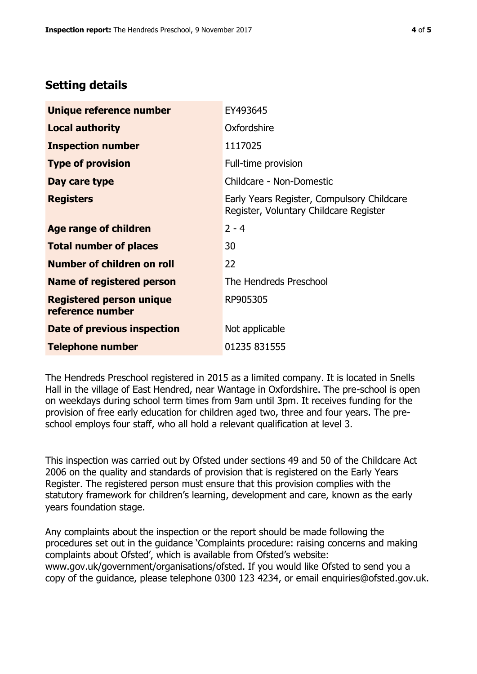# **Setting details**

| Unique reference number                             | EY493645                                                                             |  |
|-----------------------------------------------------|--------------------------------------------------------------------------------------|--|
| <b>Local authority</b>                              | Oxfordshire                                                                          |  |
| <b>Inspection number</b>                            | 1117025                                                                              |  |
| <b>Type of provision</b>                            | Full-time provision                                                                  |  |
| Day care type                                       | Childcare - Non-Domestic                                                             |  |
| <b>Registers</b>                                    | Early Years Register, Compulsory Childcare<br>Register, Voluntary Childcare Register |  |
| Age range of children                               | $2 - 4$                                                                              |  |
| <b>Total number of places</b>                       | 30                                                                                   |  |
| Number of children on roll                          | 22                                                                                   |  |
| Name of registered person                           | The Hendreds Preschool                                                               |  |
| <b>Registered person unique</b><br>reference number | RP905305                                                                             |  |
| Date of previous inspection                         | Not applicable                                                                       |  |
| <b>Telephone number</b>                             | 01235 831555                                                                         |  |

The Hendreds Preschool registered in 2015 as a limited company. It is located in Snells Hall in the village of East Hendred, near Wantage in Oxfordshire. The pre-school is open on weekdays during school term times from 9am until 3pm. It receives funding for the provision of free early education for children aged two, three and four years. The preschool employs four staff, who all hold a relevant qualification at level 3.

This inspection was carried out by Ofsted under sections 49 and 50 of the Childcare Act 2006 on the quality and standards of provision that is registered on the Early Years Register. The registered person must ensure that this provision complies with the statutory framework for children's learning, development and care, known as the early years foundation stage.

Any complaints about the inspection or the report should be made following the procedures set out in the guidance 'Complaints procedure: raising concerns and making complaints about Ofsted', which is available from Ofsted's website: www.gov.uk/government/organisations/ofsted. If you would like Ofsted to send you a copy of the guidance, please telephone 0300 123 4234, or email enquiries@ofsted.gov.uk.